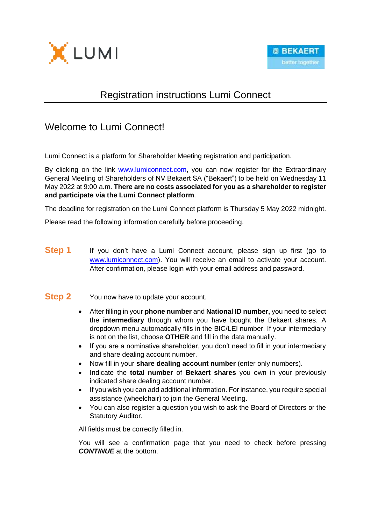

# Registration instructions Lumi Connect

## Welcome to Lumi Connect!

Lumi Connect is a platform for Shareholder Meeting registration and participation.

By clicking on the link [www.lumiconnect.com,](http://www.lumiconnect.com/) you can now register for the Extraordinary General Meeting of Shareholders of NV Bekaert SA ("Bekaert") to be held on Wednesday 11 May 2022 at 9:00 a.m. **There are no costs associated for you as a shareholder to register and participate via the Lumi Connect platform**.

The deadline for registration on the Lumi Connect platform is Thursday 5 May 2022 midnight.

Please read the following information carefully before proceeding.

**Step 1** If you don't have a Lumi Connect account, please sign up first (go to [www.lumiconnect.com\)](http://www.lumiconnect.com/). You will receive an email to activate your account. After confirmation, please login with your email address and password.

### **Step 2** You now have to update your account.

- After filling in your **phone number** and **National ID number,** you need to select the **intermediary** through whom you have bought the Bekaert shares. A dropdown menu automatically fills in the BIC/LEI number. If your intermediary is not on the list, choose **OTHER** and fill in the data manually.
- If you are a nominative shareholder, you don't need to fill in your intermediary and share dealing account number.
- Now fill in your **share dealing account number** (enter only numbers).
- Indicate the **total number** of **Bekaert shares** you own in your previously indicated share dealing account number.
- If you wish you can add additional information. For instance, you require special assistance (wheelchair) to join the General Meeting.
- You can also register a question you wish to ask the Board of Directors or the Statutory Auditor.

All fields must be correctly filled in.

You will see a confirmation page that you need to check before pressing *CONTINUE* at the bottom.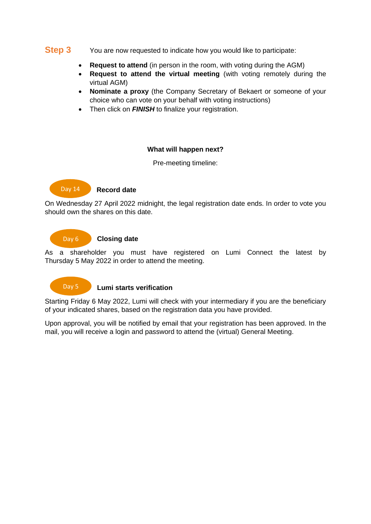### **Step 3** You are now requested to indicate how you would like to participate:

- **Request to attend** (in person in the room, with voting during the AGM)
- **Request to attend the virtual meeting** (with voting remotely during the virtual AGM)
- **Nominate a proxy** (the Company Secretary of Bekaert or someone of your choice who can vote on your behalf with voting instructions)
- Then click on **FINISH** to finalize your registration.

#### **What will happen next?**

Pre-meeting timeline:

#### **Record date** Day 14

On Wednesday 27 April 2022 midnight, the legal registration date ends. In order to vote you should own the shares on this date.

#### **Closing date** Day 6

As a shareholder you must have registered on Lumi Connect the latest by Thursday 5 May 2022 in order to attend the meeting.

Day 5

#### **Lumi starts verification**

Starting Friday 6 May 2022, Lumi will check with your intermediary if you are the beneficiary of your indicated shares, based on the registration data you have provided.

Upon approval, you will be notified by email that your registration has been approved. In the mail, you will receive a login and password to attend the (virtual) General Meeting.